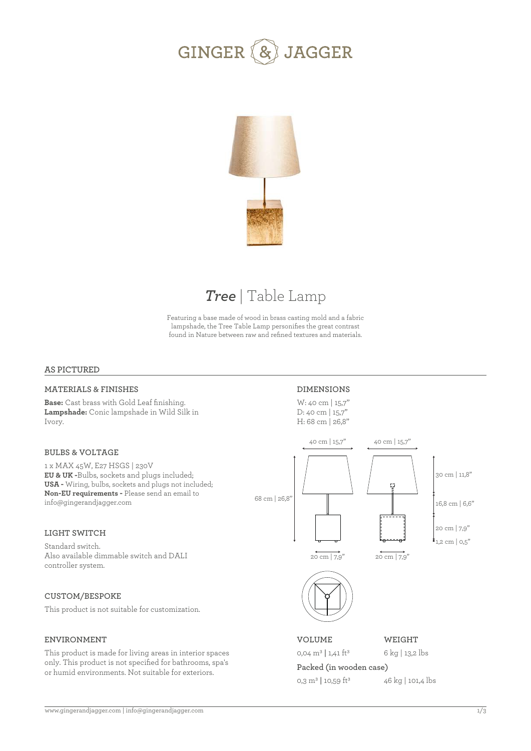



## *Tree* | Table Lamp

Featuring a base made of wood in brass casting mold and a fabric lampshade, the Tree Table Lamp personifies the great contrast found in Nature between raw and refined textures and materials.

### **AS PICTURED**

### **MATERIALS & FINISHES**

**Base:** Cast brass with Gold Leaf finishing. **Lampshade:** Conic lampshade in Wild Silk in Ivory.

### **BULBS & VOLTAGE**

1 x MAX 45W, E27 HSGS | 230V **EU & UK -**Bulbs, sockets and plugs included; **USA -** Wiring, bulbs, sockets and plugs not included; **Non-EU requirements -** Please send an email to info@gingerandjagger.com

### **LIGHT SWITCH**

Standard switch. Also available dimmable switch and DALI controller system.

### **CUSTOM/BESPOKE**

This product is not suitable for customization.

### **ENVIRONMENT**

This product is made for living areas in interior spaces only. This product is not specified for bathrooms, spa's or humid environments. Not suitable for exteriors.

### **DIMENSIONS**

W: 40 cm | 15,7'' D: 40 cm | 15,7" H: 68 cm | 26,8''



0,04 m3 **|** 1,41 ft3

6 kg | 13,2 lbs

### **Packed (in wooden case)** 46 kg | 101,4 lbs

0,3 m3 **|** 10,59 ft3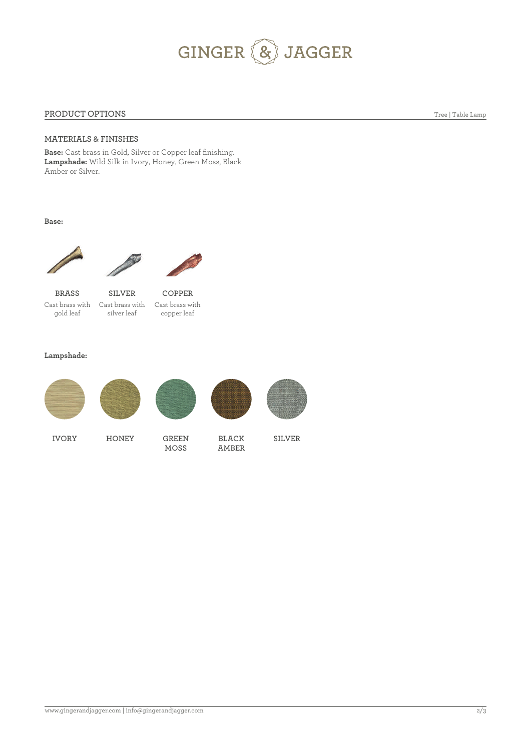# GINGER & JAGGER

### **PRODUCT OPTIONS**

Tree | Table Lamp

### **MATERIALS & FINISHES**

**Base:** Cast brass in Gold, Silver or Copper leaf finishing. **Lampshade:** Wild Silk in Ivory, Honey, Green Moss, Black Amber or Silver.

**Base:**





Cast brass with Cast brass with Cast brass with gold leaf **BRASS**

silver leaf **SILVER** copper leaf **COPPER**

### **Lampshade:**